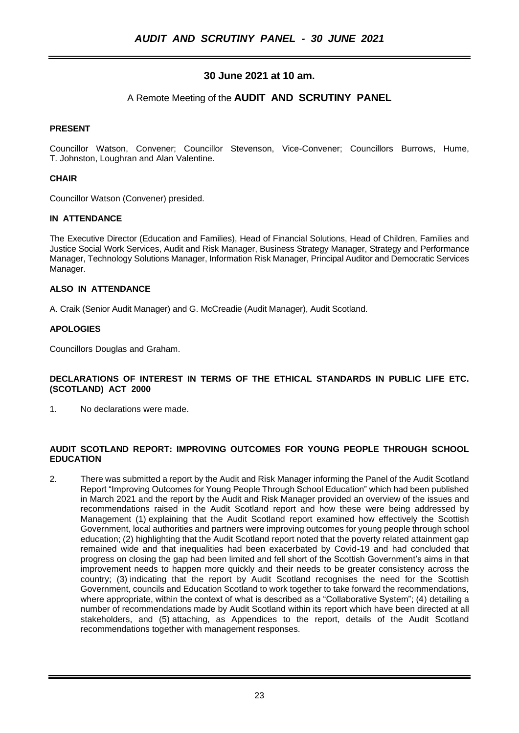# **30 June 2021 at 10 am.**

# A Remote Meeting of the **AUDIT AND SCRUTINY PANEL**

## **PRESENT**

Councillor Watson, Convener; Councillor Stevenson, Vice-Convener; Councillors Burrows, Hume, T. Johnston, Loughran and Alan Valentine.

## **CHAIR**

Councillor Watson (Convener) presided.

## **IN ATTENDANCE**

The Executive Director (Education and Families), Head of Financial Solutions, Head of Children, Families and Justice Social Work Services, Audit and Risk Manager, Business Strategy Manager, Strategy and Performance Manager, Technology Solutions Manager, Information Risk Manager, Principal Auditor and Democratic Services Manager.

## **ALSO IN ATTENDANCE**

A. Craik (Senior Audit Manager) and G. McCreadie (Audit Manager), Audit Scotland.

## **APOLOGIES**

Councillors Douglas and Graham.

#### **DECLARATIONS OF INTEREST IN TERMS OF THE ETHICAL STANDARDS IN PUBLIC LIFE ETC. (SCOTLAND) ACT 2000**

1. No declarations were made.

#### **AUDIT SCOTLAND REPORT: IMPROVING OUTCOMES FOR YOUNG PEOPLE THROUGH SCHOOL EDUCATION**

2. There was submitted a report by the Audit and Risk Manager informing the Panel of the Audit Scotland Report "Improving Outcomes for Young People Through School Education" which had been published in March 2021 and the report by the Audit and Risk Manager provided an overview of the issues and recommendations raised in the Audit Scotland report and how these were being addressed by Management (1) explaining that the Audit Scotland report examined how effectively the Scottish Government, local authorities and partners were improving outcomes for young people through school education; (2) highlighting that the Audit Scotland report noted that the poverty related attainment gap remained wide and that inequalities had been exacerbated by Covid-19 and had concluded that progress on closing the gap had been limited and fell short of the Scottish Government's aims in that improvement needs to happen more quickly and their needs to be greater consistency across the country; (3) indicating that the report by Audit Scotland recognises the need for the Scottish Government, councils and Education Scotland to work together to take forward the recommendations, where appropriate, within the context of what is described as a "Collaborative System"; (4) detailing a number of recommendations made by Audit Scotland within its report which have been directed at all stakeholders, and (5) attaching, as Appendices to the report, details of the Audit Scotland recommendations together with management responses.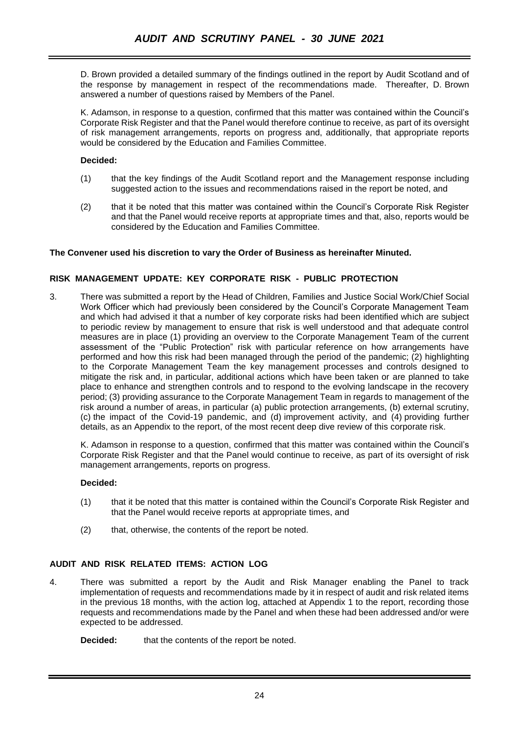D. Brown provided a detailed summary of the findings outlined in the report by Audit Scotland and of the response by management in respect of the recommendations made. Thereafter, D. Brown answered a number of questions raised by Members of the Panel.

K. Adamson, in response to a question, confirmed that this matter was contained within the Council's Corporate Risk Register and that the Panel would therefore continue to receive, as part of its oversight of risk management arrangements, reports on progress and, additionally, that appropriate reports would be considered by the Education and Families Committee.

# **Decided:**

- (1) that the key findings of the Audit Scotland report and the Management response including suggested action to the issues and recommendations raised in the report be noted, and
- (2) that it be noted that this matter was contained within the Council's Corporate Risk Register and that the Panel would receive reports at appropriate times and that, also, reports would be considered by the Education and Families Committee.

# **The Convener used his discretion to vary the Order of Business as hereinafter Minuted.**

# **RISK MANAGEMENT UPDATE: KEY CORPORATE RISK - PUBLIC PROTECTION**

3. There was submitted a report by the Head of Children, Families and Justice Social Work/Chief Social Work Officer which had previously been considered by the Council's Corporate Management Team and which had advised it that a number of key corporate risks had been identified which are subject to periodic review by management to ensure that risk is well understood and that adequate control measures are in place (1) providing an overview to the Corporate Management Team of the current assessment of the "Public Protection" risk with particular reference on how arrangements have performed and how this risk had been managed through the period of the pandemic; (2) highlighting to the Corporate Management Team the key management processes and controls designed to mitigate the risk and, in particular, additional actions which have been taken or are planned to take place to enhance and strengthen controls and to respond to the evolving landscape in the recovery period; (3) providing assurance to the Corporate Management Team in regards to management of the risk around a number of areas, in particular (a) public protection arrangements, (b) external scrutiny, (c) the impact of the Covid-19 pandemic, and (d) improvement activity, and (4) providing further details, as an Appendix to the report, of the most recent deep dive review of this corporate risk.

K. Adamson in response to a question, confirmed that this matter was contained within the Council's Corporate Risk Register and that the Panel would continue to receive, as part of its oversight of risk management arrangements, reports on progress.

## **Decided:**

- (1) that it be noted that this matter is contained within the Council's Corporate Risk Register and that the Panel would receive reports at appropriate times, and
- (2) that, otherwise, the contents of the report be noted.

## **AUDIT AND RISK RELATED ITEMS: ACTION LOG**

4. There was submitted a report by the Audit and Risk Manager enabling the Panel to track implementation of requests and recommendations made by it in respect of audit and risk related items in the previous 18 months, with the action log, attached at Appendix 1 to the report, recording those requests and recommendations made by the Panel and when these had been addressed and/or were expected to be addressed.

**Decided:** that the contents of the report be noted.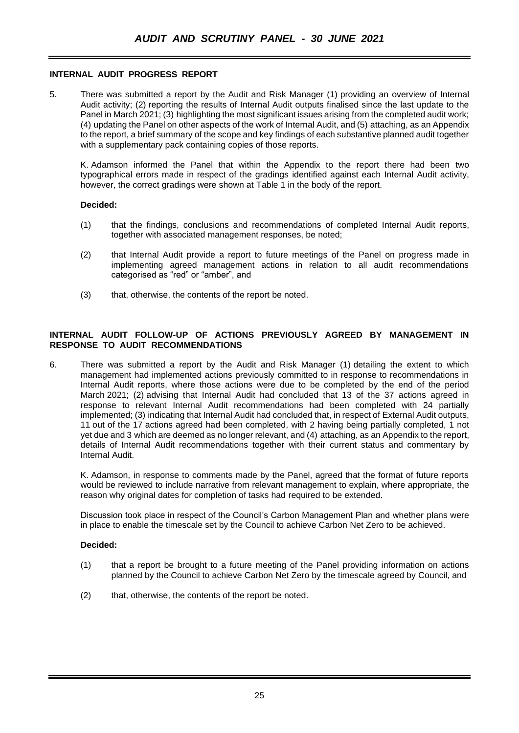## **INTERNAL AUDIT PROGRESS REPORT**

5. There was submitted a report by the Audit and Risk Manager (1) providing an overview of Internal Audit activity; (2) reporting the results of Internal Audit outputs finalised since the last update to the Panel in March 2021; (3) highlighting the most significant issues arising from the completed audit work; (4) updating the Panel on other aspects of the work of Internal Audit, and (5) attaching, as an Appendix to the report, a brief summary of the scope and key findings of each substantive planned audit together with a supplementary pack containing copies of those reports.

K. Adamson informed the Panel that within the Appendix to the report there had been two typographical errors made in respect of the gradings identified against each Internal Audit activity, however, the correct gradings were shown at Table 1 in the body of the report.

#### **Decided:**

- (1) that the findings, conclusions and recommendations of completed Internal Audit reports, together with associated management responses, be noted;
- (2) that Internal Audit provide a report to future meetings of the Panel on progress made in implementing agreed management actions in relation to all audit recommendations categorised as "red" or "amber", and
- (3) that, otherwise, the contents of the report be noted.

#### **INTERNAL AUDIT FOLLOW-UP OF ACTIONS PREVIOUSLY AGREED BY MANAGEMENT IN RESPONSE TO AUDIT RECOMMENDATIONS**

6. There was submitted a report by the Audit and Risk Manager (1) detailing the extent to which management had implemented actions previously committed to in response to recommendations in Internal Audit reports, where those actions were due to be completed by the end of the period March 2021; (2) advising that Internal Audit had concluded that 13 of the 37 actions agreed in response to relevant Internal Audit recommendations had been completed with 24 partially implemented; (3) indicating that Internal Audit had concluded that, in respect of External Audit outputs, 11 out of the 17 actions agreed had been completed, with 2 having being partially completed, 1 not yet due and 3 which are deemed as no longer relevant, and (4) attaching, as an Appendix to the report, details of Internal Audit recommendations together with their current status and commentary by Internal Audit.

K. Adamson, in response to comments made by the Panel, agreed that the format of future reports would be reviewed to include narrative from relevant management to explain, where appropriate, the reason why original dates for completion of tasks had required to be extended.

Discussion took place in respect of the Council's Carbon Management Plan and whether plans were in place to enable the timescale set by the Council to achieve Carbon Net Zero to be achieved.

#### **Decided:**

- (1) that a report be brought to a future meeting of the Panel providing information on actions planned by the Council to achieve Carbon Net Zero by the timescale agreed by Council, and
- (2) that, otherwise, the contents of the report be noted.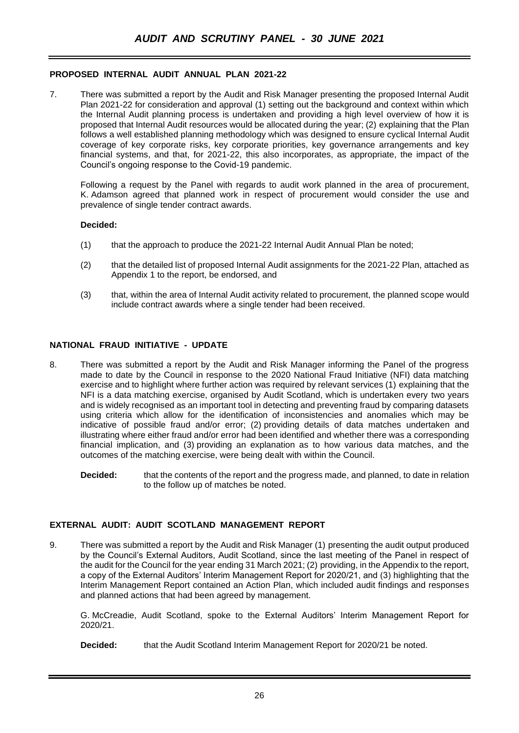## **PROPOSED INTERNAL AUDIT ANNUAL PLAN 2021-22**

7. There was submitted a report by the Audit and Risk Manager presenting the proposed Internal Audit Plan 2021-22 for consideration and approval (1) setting out the background and context within which the Internal Audit planning process is undertaken and providing a high level overview of how it is proposed that Internal Audit resources would be allocated during the year; (2) explaining that the Plan follows a well established planning methodology which was designed to ensure cyclical Internal Audit coverage of key corporate risks, key corporate priorities, key governance arrangements and key financial systems, and that, for 2021-22, this also incorporates, as appropriate, the impact of the Council's ongoing response to the Covid-19 pandemic.

Following a request by the Panel with regards to audit work planned in the area of procurement, K. Adamson agreed that planned work in respect of procurement would consider the use and prevalence of single tender contract awards.

#### **Decided:**

- (1) that the approach to produce the 2021-22 Internal Audit Annual Plan be noted;
- (2) that the detailed list of proposed Internal Audit assignments for the 2021-22 Plan, attached as Appendix 1 to the report, be endorsed, and
- (3) that, within the area of Internal Audit activity related to procurement, the planned scope would include contract awards where a single tender had been received.

## **NATIONAL FRAUD INITIATIVE - UPDATE**

- 8. There was submitted a report by the Audit and Risk Manager informing the Panel of the progress made to date by the Council in response to the 2020 National Fraud Initiative (NFI) data matching exercise and to highlight where further action was required by relevant services (1) explaining that the NFI is a data matching exercise, organised by Audit Scotland, which is undertaken every two years and is widely recognised as an important tool in detecting and preventing fraud by comparing datasets using criteria which allow for the identification of inconsistencies and anomalies which may be indicative of possible fraud and/or error; (2) providing details of data matches undertaken and illustrating where either fraud and/or error had been identified and whether there was a corresponding financial implication, and (3) providing an explanation as to how various data matches, and the outcomes of the matching exercise, were being dealt with within the Council.
	- **Decided:** that the contents of the report and the progress made, and planned, to date in relation to the follow up of matches be noted.

## **EXTERNAL AUDIT: AUDIT SCOTLAND MANAGEMENT REPORT**

9. There was submitted a report by the Audit and Risk Manager (1) presenting the audit output produced by the Council's External Auditors, Audit Scotland, since the last meeting of the Panel in respect of the audit for the Council for the year ending 31 March 2021; (2) providing, in the Appendix to the report, a copy of the External Auditors' Interim Management Report for 2020/21, and (3) highlighting that the Interim Management Report contained an Action Plan, which included audit findings and responses and planned actions that had been agreed by management.

G. McCreadie, Audit Scotland, spoke to the External Auditors' Interim Management Report for 2020/21.

**Decided:** that the Audit Scotland Interim Management Report for 2020/21 be noted.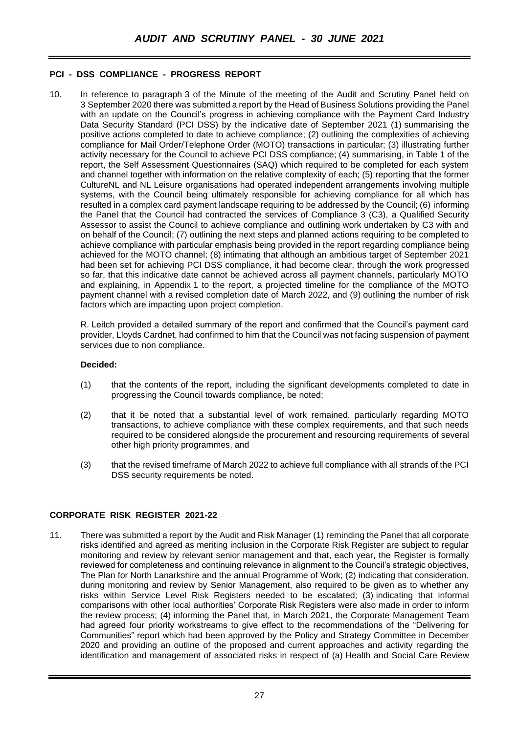# **PCI - DSS COMPLIANCE - PROGRESS REPORT**

10. In reference to paragraph 3 of the Minute of the meeting of the Audit and Scrutiny Panel held on 3 September 2020 there was submitted a report by the Head of Business Solutions providing the Panel with an update on the Council's progress in achieving compliance with the Payment Card Industry Data Security Standard (PCI DSS) by the indicative date of September 2021 (1) summarising the positive actions completed to date to achieve compliance; (2) outlining the complexities of achieving compliance for Mail Order/Telephone Order (MOTO) transactions in particular; (3) illustrating further activity necessary for the Council to achieve PCI DSS compliance; (4) summarising, in Table 1 of the report, the Self Assessment Questionnaires (SAQ) which required to be completed for each system and channel together with information on the relative complexity of each; (5) reporting that the former CultureNL and NL Leisure organisations had operated independent arrangements involving multiple systems, with the Council being ultimately responsible for achieving compliance for all which has resulted in a complex card payment landscape requiring to be addressed by the Council; (6) informing the Panel that the Council had contracted the services of Compliance 3 (C3), a Qualified Security Assessor to assist the Council to achieve compliance and outlining work undertaken by C3 with and on behalf of the Council; (7) outlining the next steps and planned actions requiring to be completed to achieve compliance with particular emphasis being provided in the report regarding compliance being achieved for the MOTO channel; (8) intimating that although an ambitious target of September 2021 had been set for achieving PCI DSS compliance, it had become clear, through the work progressed so far, that this indicative date cannot be achieved across all payment channels, particularly MOTO and explaining, in Appendix 1 to the report, a projected timeline for the compliance of the MOTO payment channel with a revised completion date of March 2022, and (9) outlining the number of risk factors which are impacting upon project completion.

R. Leitch provided a detailed summary of the report and confirmed that the Council's payment card provider, Lloyds Cardnet, had confirmed to him that the Council was not facing suspension of payment services due to non compliance.

#### **Decided:**

- (1) that the contents of the report, including the significant developments completed to date in progressing the Council towards compliance, be noted;
- (2) that it be noted that a substantial level of work remained, particularly regarding MOTO transactions, to achieve compliance with these complex requirements, and that such needs required to be considered alongside the procurement and resourcing requirements of several other high priority programmes, and
- (3) that the revised timeframe of March 2022 to achieve full compliance with all strands of the PCI DSS security requirements be noted.

## **CORPORATE RISK REGISTER 2021-22**

11. There was submitted a report by the Audit and Risk Manager (1) reminding the Panel that all corporate risks identified and agreed as meriting inclusion in the Corporate Risk Register are subject to regular monitoring and review by relevant senior management and that, each year, the Register is formally reviewed for completeness and continuing relevance in alignment to the Council's strategic objectives, The Plan for North Lanarkshire and the annual Programme of Work; (2) indicating that consideration, during monitoring and review by Senior Management, also required to be given as to whether any risks within Service Level Risk Registers needed to be escalated; (3) indicating that informal comparisons with other local authorities' Corporate Risk Registers were also made in order to inform the review process; (4) informing the Panel that, in March 2021, the Corporate Management Team had agreed four priority workstreams to give effect to the recommendations of the "Delivering for Communities" report which had been approved by the Policy and Strategy Committee in December 2020 and providing an outline of the proposed and current approaches and activity regarding the identification and management of associated risks in respect of (a) Health and Social Care Review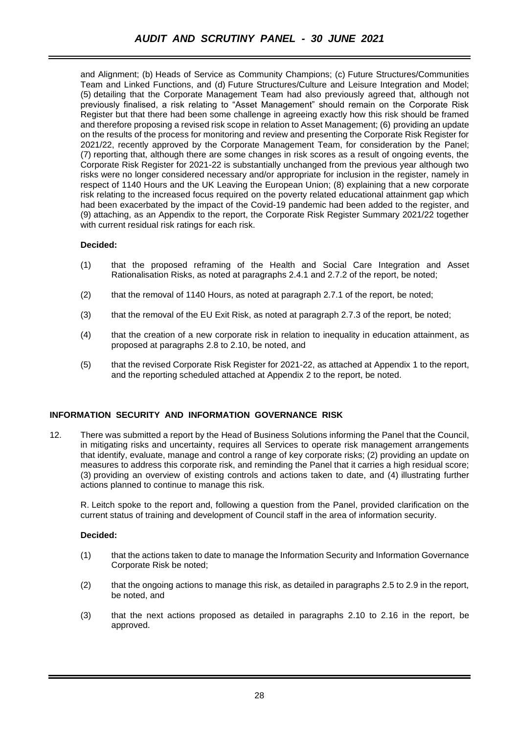and Alignment; (b) Heads of Service as Community Champions; (c) Future Structures/Communities Team and Linked Functions, and (d) Future Structures/Culture and Leisure Integration and Model; (5) detailing that the Corporate Management Team had also previously agreed that, although not previously finalised, a risk relating to "Asset Management" should remain on the Corporate Risk Register but that there had been some challenge in agreeing exactly how this risk should be framed and therefore proposing a revised risk scope in relation to Asset Management; (6) providing an update on the results of the process for monitoring and review and presenting the Corporate Risk Register for 2021/22, recently approved by the Corporate Management Team, for consideration by the Panel; (7) reporting that, although there are some changes in risk scores as a result of ongoing events, the Corporate Risk Register for 2021-22 is substantially unchanged from the previous year although two risks were no longer considered necessary and/or appropriate for inclusion in the register, namely in respect of 1140 Hours and the UK Leaving the European Union; (8) explaining that a new corporate risk relating to the increased focus required on the poverty related educational attainment gap which had been exacerbated by the impact of the Covid-19 pandemic had been added to the register, and (9) attaching, as an Appendix to the report, the Corporate Risk Register Summary 2021/22 together with current residual risk ratings for each risk.

# **Decided:**

- (1) that the proposed reframing of the Health and Social Care Integration and Asset Rationalisation Risks, as noted at paragraphs 2.4.1 and 2.7.2 of the report, be noted;
- (2) that the removal of 1140 Hours, as noted at paragraph 2.7.1 of the report, be noted;
- (3) that the removal of the EU Exit Risk, as noted at paragraph 2.7.3 of the report, be noted;
- (4) that the creation of a new corporate risk in relation to inequality in education attainment, as proposed at paragraphs 2.8 to 2.10, be noted, and
- (5) that the revised Corporate Risk Register for 2021-22, as attached at Appendix 1 to the report, and the reporting scheduled attached at Appendix 2 to the report, be noted.

# **INFORMATION SECURITY AND INFORMATION GOVERNANCE RISK**

12. There was submitted a report by the Head of Business Solutions informing the Panel that the Council, in mitigating risks and uncertainty, requires all Services to operate risk management arrangements that identify, evaluate, manage and control a range of key corporate risks; (2) providing an update on measures to address this corporate risk, and reminding the Panel that it carries a high residual score; (3) providing an overview of existing controls and actions taken to date, and (4) illustrating further actions planned to continue to manage this risk.

R. Leitch spoke to the report and, following a question from the Panel, provided clarification on the current status of training and development of Council staff in the area of information security.

## **Decided:**

- (1) that the actions taken to date to manage the Information Security and Information Governance Corporate Risk be noted;
- (2) that the ongoing actions to manage this risk, as detailed in paragraphs 2.5 to 2.9 in the report, be noted, and
- (3) that the next actions proposed as detailed in paragraphs 2.10 to 2.16 in the report, be approved.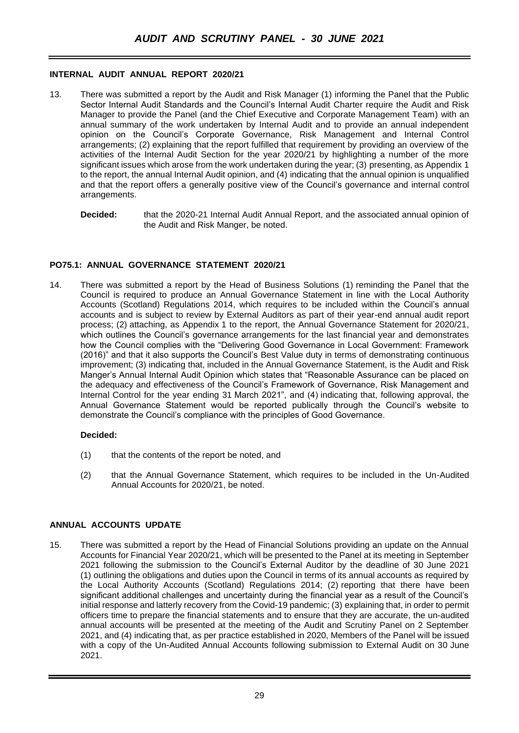#### **INTERNAL AUDIT ANNUAL REPORT 2020/21**

- 13. There was submitted a report by the Audit and Risk Manager (1) informing the Panel that the Public Sector Internal Audit Standards and the Council's Internal Audit Charter require the Audit and Risk Manager to provide the Panel (and the Chief Executive and Corporate Management Team) with an annual summary of the work undertaken by Internal Audit and to provide an annual independent opinion on the Council's Corporate Governance, Risk Management and Internal Control arrangements; (2) explaining that the report fulfilled that requirement by providing an overview of the activities of the Internal Audit Section for the year 2020/21 by highlighting a number of the more significant issues which arose from the work undertaken during the year; (3) presenting, as Appendix 1 to the report, the annual Internal Audit opinion, and (4) indicating that the annual opinion is unqualified and that the report offers a generally positive view of the Council's governance and internal control arrangements.
	- **Decided:** that the 2020-21 Internal Audit Annual Report, and the associated annual opinion of the Audit and Risk Manger, be noted.

## **PO75.1: ANNUAL GOVERNANCE STATEMENT 2020/21**

14. There was submitted a report by the Head of Business Solutions (1) reminding the Panel that the Council is required to produce an Annual Governance Statement in line with the Local Authority Accounts (Scotland) Regulations 2014, which requires to be included within the Council's annual accounts and is subject to review by External Auditors as part of their year-end annual audit report process; (2) attaching, as Appendix 1 to the report, the Annual Governance Statement for 2020/21, which outlines the Council's governance arrangements for the last financial year and demonstrates how the Council complies with the "Delivering Good Governance in Local Government: Framework (2016)" and that it also supports the Council's Best Value duty in terms of demonstrating continuous improvement; (3) indicating that, included in the Annual Governance Statement, is the Audit and Risk Manger's Annual Internal Audit Opinion which states that "Reasonable Assurance can be placed on the adequacy and effectiveness of the Council's Framework of Governance, Risk Management and Internal Control for the year ending 31 March 2021", and (4) indicating that, following approval, the Annual Governance Statement would be reported publically through the Council's website to demonstrate the Council's compliance with the principles of Good Governance.

#### **Decided:**

- (1) that the contents of the report be noted, and
- (2) that the Annual Governance Statement, which requires to be included in the Un-Audited Annual Accounts for 2020/21, be noted.

## **ANNUAL ACCOUNTS UPDATE**

15. There was submitted a report by the Head of Financial Solutions providing an update on the Annual Accounts for Financial Year 2020/21, which will be presented to the Panel at its meeting in September 2021 following the submission to the Council's External Auditor by the deadline of 30 June 2021 (1) outlining the obligations and duties upon the Council in terms of its annual accounts as required by the Local Authority Accounts (Scotland) Regulations 2014; (2) reporting that there have been significant additional challenges and uncertainty during the financial year as a result of the Council's initial response and latterly recovery from the Covid-19 pandemic; (3) explaining that, in order to permit officers time to prepare the financial statements and to ensure that they are accurate, the un-audited annual accounts will be presented at the meeting of the Audit and Scrutiny Panel on 2 September 2021, and (4) indicating that, as per practice established in 2020, Members of the Panel will be issued with a copy of the Un-Audited Annual Accounts following submission to External Audit on 30 June 2021.